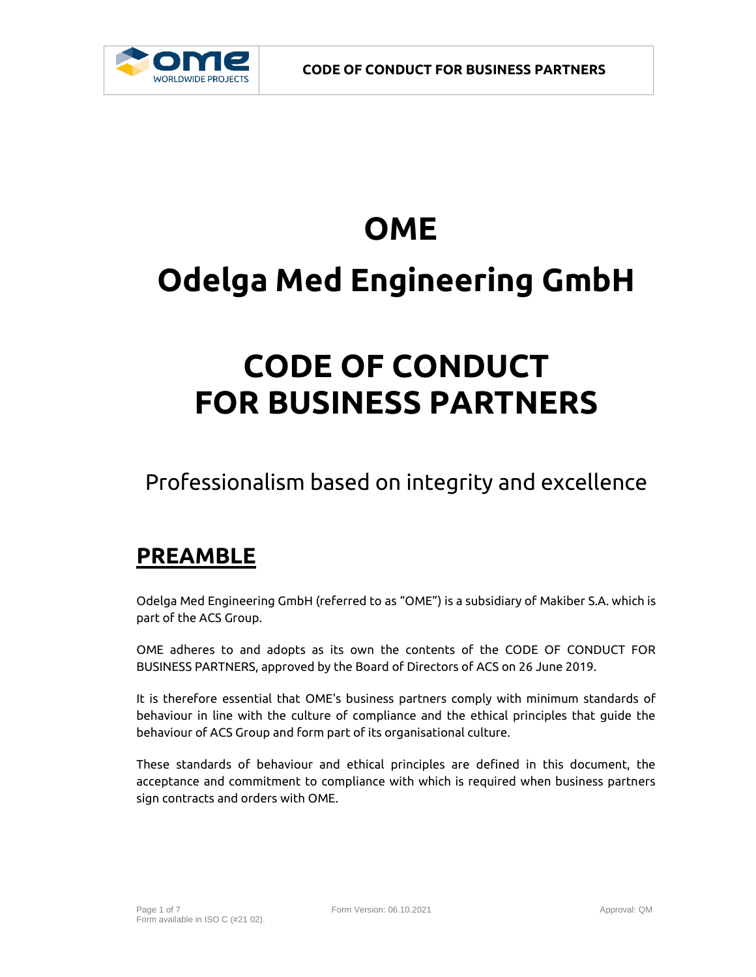

# **OME Odelga Med Engineering GmbH**

## **CODE OF CONDUCT FOR BUSINESS PARTNERS**

Professionalism based on integrity and excellence

### **PREAMBLE**

Odelga Med Engineering GmbH (referred to as "OME") is a subsidiary of Makiber S.A. which is part of the ACS Group.

OME adheres to and adopts as its own the contents of the CODE OF CONDUCT FOR BUSINESS PARTNERS, approved by the Board of Directors of ACS on 26 June 2019.

It is therefore essential that OME's business partners comply with minimum standards of behaviour in line with the culture of compliance and the ethical principles that guide the behaviour of ACS Group and form part of its organisational culture.

These standards of behaviour and ethical principles are defined in this document, the acceptance and commitment to compliance with which is required when business partners sign contracts and orders with OME.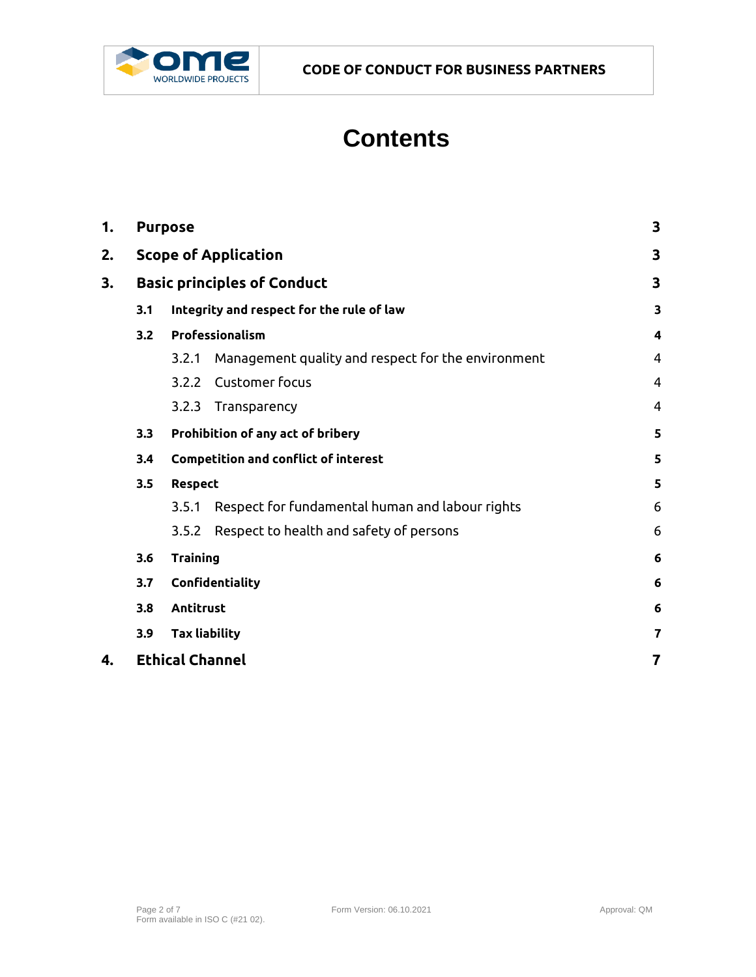

## **Contents**

| 1. | <b>Purpose</b>                                   |                                                   |                                                    | $\overline{\mathbf{3}}$ |
|----|--------------------------------------------------|---------------------------------------------------|----------------------------------------------------|-------------------------|
| 2. | <b>Scope of Application</b>                      |                                                   |                                                    | $\overline{\mathbf{3}}$ |
| 3. | <b>Basic principles of Conduct</b>               |                                                   |                                                    | 3                       |
|    | Integrity and respect for the rule of law<br>3.1 |                                                   |                                                    | $\overline{\mathbf{3}}$ |
|    | 3.2                                              | Professionalism                                   |                                                    | 4                       |
|    |                                                  | 3.2.1                                             | Management quality and respect for the environment | 4                       |
|    |                                                  | 3.2.2                                             | <b>Customer focus</b>                              | 4                       |
|    |                                                  | 3.2.3                                             | Transparency                                       | 4                       |
|    | Prohibition of any act of bribery<br>3.3         |                                                   |                                                    | 5                       |
|    | 3.4                                              | <b>Competition and conflict of interest</b>       |                                                    | 5                       |
|    | 3.5                                              | Respect<br>5                                      |                                                    |                         |
|    |                                                  | 3.5.1                                             | Respect for fundamental human and labour rights    | 6                       |
|    |                                                  | 3.5.2                                             | Respect to health and safety of persons            | 6                       |
|    | <b>Training</b><br>3.6                           |                                                   | 6                                                  |                         |
|    | 3.7                                              | Confidentiality                                   |                                                    | 6                       |
|    | 3.8                                              | Antitrust<br><b>Tax liability</b>                 |                                                    |                         |
|    | 3.9                                              |                                                   |                                                    |                         |
| 4. |                                                  | <b>Ethical Channel</b><br>$\overline{\mathbf{r}}$ |                                                    |                         |
|    |                                                  |                                                   |                                                    |                         |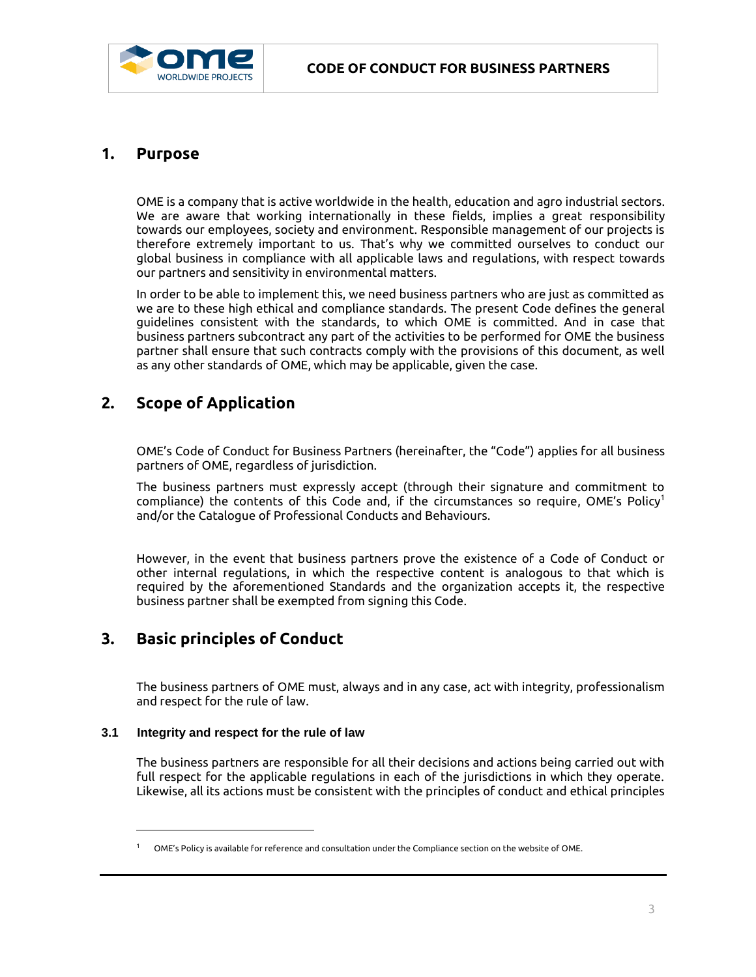

#### <span id="page-2-0"></span>**1. Purpose**

OME is a company that is active worldwide in the health, education and agro industrial sectors. We are aware that working internationally in these fields, implies a great responsibility towards our employees, society and environment. Responsible management of our projects is therefore extremely important to us. That's why we committed ourselves to conduct our global business in compliance with all applicable laws and regulations, with respect towards our partners and sensitivity in environmental matters.

In order to be able to implement this, we need business partners who are just as committed as we are to these high ethical and compliance standards. The present Code defines the general guidelines consistent with the standards, to which OME is committed. And in case that business partners subcontract any part of the activities to be performed for OME the business partner shall ensure that such contracts comply with the provisions of this document, as well as any other standards of OME, which may be applicable, given the case.

#### <span id="page-2-1"></span>**2. Scope of Application**

OME's Code of Conduct for Business Partners (hereinafter, the "Code") applies for all business partners of OME, regardless of jurisdiction.

The business partners must expressly accept (through their signature and commitment to compliance) the contents of this Code and, if the circumstances so require, OME's Policy<sup>1</sup> and/or the Catalogue of Professional Conducts and Behaviours.

However, in the event that business partners prove the existence of a Code of Conduct or other internal regulations, in which the respective content is analogous to that which is required by the aforementioned Standards and the organization accepts it, the respective business partner shall be exempted from signing this Code.

#### <span id="page-2-2"></span>**3. Basic principles of Conduct**

The business partners of OME must, always and in any case, act with integrity, professionalism and respect for the rule of law.

#### <span id="page-2-3"></span>**3.1 Integrity and respect for the rule of law**

 $\overline{a}$ 

The business partners are responsible for all their decisions and actions being carried out with full respect for the applicable regulations in each of the jurisdictions in which they operate. Likewise, all its actions must be consistent with the principles of conduct and ethical principles

<sup>1</sup> OME's Policy is available for reference and consultation under the Compliance section on the website of OME.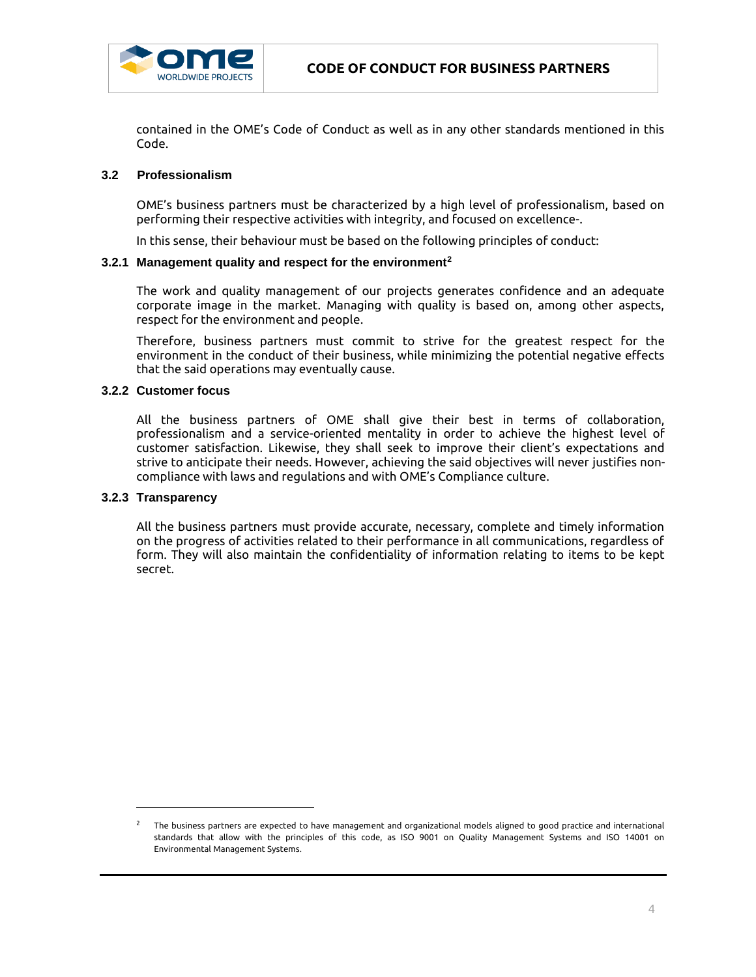

contained in the OME's Code of Conduct as well as in any other standards mentioned in this Code.

#### <span id="page-3-0"></span>**3.2 Professionalism**

OME's business partners must be characterized by a high level of professionalism, based on performing their respective activities with integrity, and focused on excellence-.

In this sense, their behaviour must be based on the following principles of conduct:

#### <span id="page-3-1"></span>**3.2.1 Management quality and respect for the environment<sup>2</sup>**

The work and quality management of our projects generates confidence and an adequate corporate image in the market. Managing with quality is based on, among other aspects, respect for the environment and people.

Therefore, business partners must commit to strive for the greatest respect for the environment in the conduct of their business, while minimizing the potential negative effects that the said operations may eventually cause.

#### <span id="page-3-2"></span>**3.2.2 Customer focus**

All the business partners of OME shall give their best in terms of collaboration, professionalism and a service-oriented mentality in order to achieve the highest level of customer satisfaction. Likewise, they shall seek to improve their client's expectations and strive to anticipate their needs. However, achieving the said objectives will never justifies noncompliance with laws and regulations and with OME's Compliance culture.

#### <span id="page-3-3"></span>**3.2.3 Transparency**

 $\overline{a}$ 

All the business partners must provide accurate, necessary, complete and timely information on the progress of activities related to their performance in all communications, regardless of form. They will also maintain the confidentiality of information relating to items to be kept secret.

 $^{\rm 2}$  The business partners are expected to have management and organizational models aligned to good practice and international standards that allow with the principles of this code, as ISO 9001 on Quality Management Systems and ISO 14001 on Environmental Management Systems.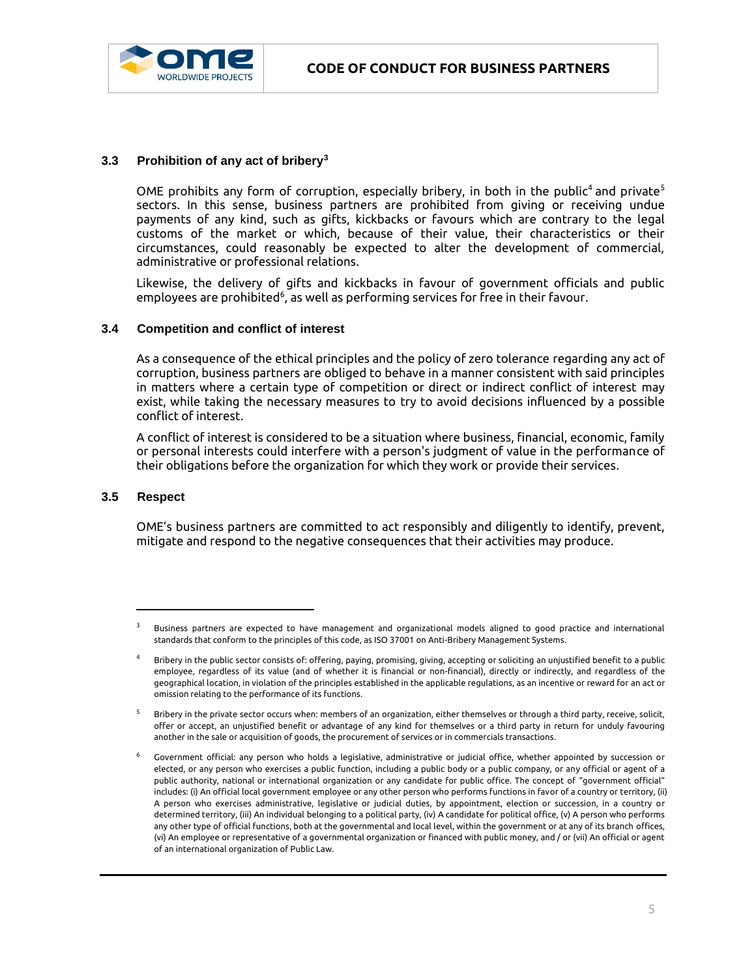

#### <span id="page-4-0"></span>**3.3 Prohibition of any act of bribery<sup>3</sup>**

OME prohibits any form of corruption, especially bribery, in both in the public<sup>4</sup> and private<sup>5</sup> sectors. In this sense, business partners are prohibited from giving or receiving undue payments of any kind, such as gifts, kickbacks or favours which are contrary to the legal customs of the market or which, because of their value, their characteristics or their circumstances, could reasonably be expected to alter the development of commercial, administrative or professional relations.

Likewise, the delivery of gifts and kickbacks in favour of government officials and public employees are prohibited<sup>6</sup>, as well as performing services for free in their favour.

#### <span id="page-4-1"></span>**3.4 Competition and conflict of interest**

As a consequence of the ethical principles and the policy of zero tolerance regarding any act of corruption, business partners are obliged to behave in a manner consistent with said principles in matters where a certain type of competition or direct or indirect conflict of interest may exist, while taking the necessary measures to try to avoid decisions influenced by a possible conflict of interest.

A conflict of interest is considered to be a situation where business, financial, economic, family or personal interests could interfere with a person's judgment of value in the performance of their obligations before the organization for which they work or provide their services.

#### <span id="page-4-2"></span>**3.5 Respect**

l

OME's business partners are committed to act responsibly and diligently to identify, prevent, mitigate and respond to the negative consequences that their activities may produce.

 $3$  Business partners are expected to have management and organizational models aligned to good practice and international standards that conform to the principles of this code, as ISO 37001 on Anti-Bribery Management Systems.

<sup>4</sup> Bribery in the public sector consists of: offering, paying, promising, giving, accepting or soliciting an unjustified benefit to a public employee, regardless of its value (and of whether it is financial or non-financial), directly or indirectly, and regardless of the geographical location, in violation of the principles established in the applicable regulations, as an incentive or reward for an act or omission relating to the performance of its functions.

<sup>5</sup> Bribery in the private sector occurs when: members of an organization, either themselves or through a third party, receive, solicit, offer or accept, an unjustified benefit or advantage of any kind for themselves or a third party in return for unduly favouring another in the sale or acquisition of goods, the procurement of services or in commercials transactions.

<sup>6</sup> Government official: any person who holds a legislative, administrative or judicial office, whether appointed by succession or elected, or any person who exercises a public function, including a public body or a public company, or any official or agent of a public authority, national or international organization or any candidate for public office. The concept of "government official" includes: (i) An official local government employee or any other person who performs functions in favor of a country or territory, (ii) A person who exercises administrative, legislative or judicial duties, by appointment, election or succession, in a country or determined territory, (iii) An individual belonging to a political party, (iv) A candidate for political office, (v) A person who performs any other type of official functions, both at the governmental and local level, within the government or at any of its branch offices, (vi) An employee or representative of a governmental organization or financed with public money, and / or (vii) An official or agent of an international organization of Public Law.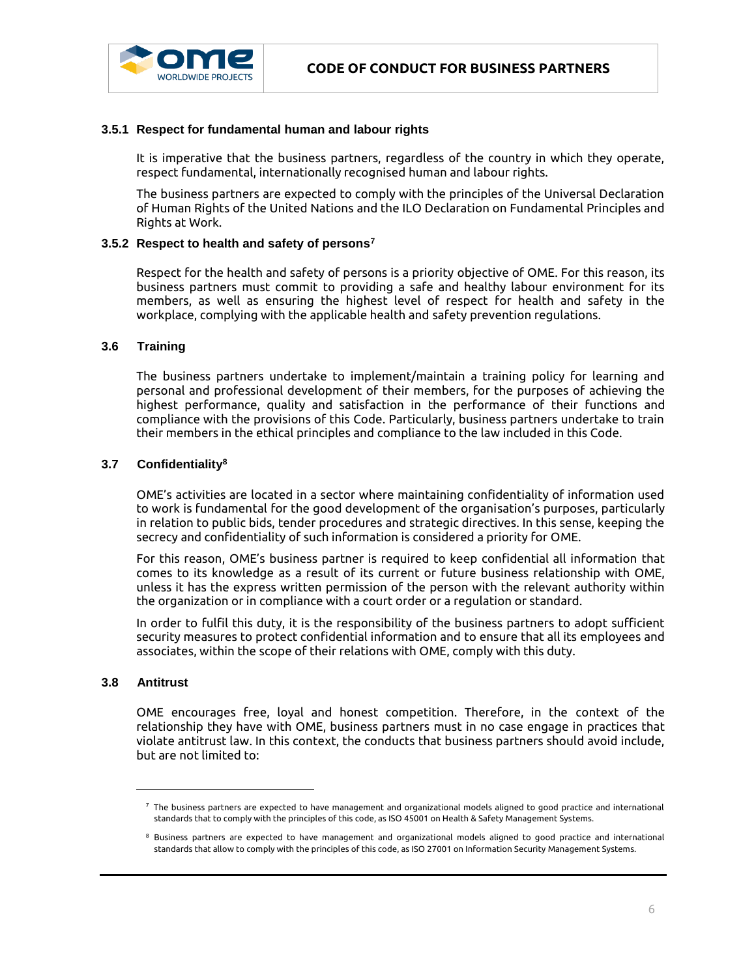

#### <span id="page-5-0"></span>**3.5.1 Respect for fundamental human and labour rights**

It is imperative that the business partners, regardless of the country in which they operate, respect fundamental, internationally recognised human and labour rights.

The business partners are expected to comply with the principles of the Universal Declaration of Human Rights of the United Nations and the ILO Declaration on Fundamental Principles and Rights at Work.

#### <span id="page-5-1"></span>**3.5.2 Respect to health and safety of persons<sup>7</sup>**

Respect for the health and safety of persons is a priority objective of OME. For this reason, its business partners must commit to providing a safe and healthy labour environment for its members, as well as ensuring the highest level of respect for health and safety in the workplace, complying with the applicable health and safety prevention regulations.

#### <span id="page-5-2"></span>**3.6 Training**

The business partners undertake to implement/maintain a training policy for learning and personal and professional development of their members, for the purposes of achieving the highest performance, quality and satisfaction in the performance of their functions and compliance with the provisions of this Code. Particularly, business partners undertake to train their members in the ethical principles and compliance to the law included in this Code.

#### <span id="page-5-3"></span>**3.7 Confidentiality<sup>8</sup>**

OME's activities are located in a sector where maintaining confidentiality of information used to work is fundamental for the good development of the organisation's purposes, particularly in relation to public bids, tender procedures and strategic directives. In this sense, keeping the secrecy and confidentiality of such information is considered a priority for OME.

For this reason, OME's business partner is required to keep confidential all information that comes to its knowledge as a result of its current or future business relationship with OME, unless it has the express written permission of the person with the relevant authority within the organization or in compliance with a court order or a regulation or standard.

In order to fulfil this duty, it is the responsibility of the business partners to adopt sufficient security measures to protect confidential information and to ensure that all its employees and associates, within the scope of their relations with OME, comply with this duty.

#### <span id="page-5-4"></span>**3.8 Antitrust**

 $\overline{a}$ 

OME encourages free, loyal and honest competition. Therefore, in the context of the relationship they have with OME, business partners must in no case engage in practices that violate antitrust law. In this context, the conducts that business partners should avoid include, but are not limited to:

 $^7$  The business partners are expected to have management and organizational models aligned to good practice and international standards that to comply with the principles of this code, as ISO 45001 on Health & Safety Management Systems.

<sup>8</sup> Business partners are expected to have management and organizational models aligned to good practice and international standards that allow to comply with the principles of this code, as ISO 27001 on Information Security Management Systems.